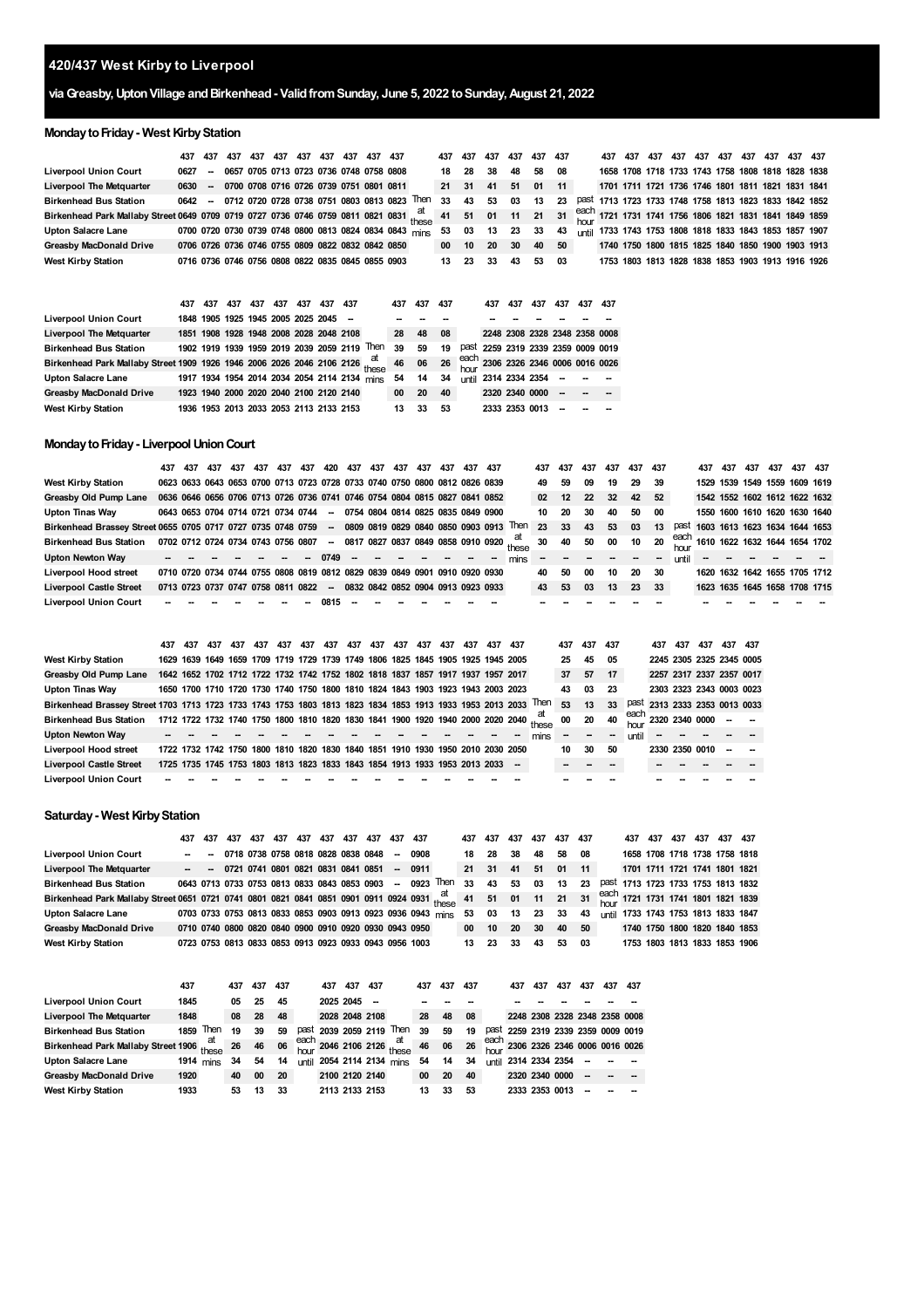# **420/437 West Kirby to Liverpool**

## **viaGreasby,UptonVillage andBirkenhead- ValidfromSunday, June 5, 2022 toSunday,August 21, 2022**

## **Monday to Friday - West Kirby Station**

|                                                                                                                                                                                          | 437 437                                         | 437 | 437 | 437 437 437 437 |  | 437 437 |                                                           | 437 437         |      | 437 | 437  | 437 437     |    | 437 437 | 437 | 437 |  | 437 437 437 437 | 437 437                                                 |  |
|------------------------------------------------------------------------------------------------------------------------------------------------------------------------------------------|-------------------------------------------------|-----|-----|-----------------|--|---------|-----------------------------------------------------------|-----------------|------|-----|------|-------------|----|---------|-----|-----|--|-----------------|---------------------------------------------------------|--|
| <b>Liverpool Union Court</b>                                                                                                                                                             | 0627 -- 0657 0705 0713 0723 0736 0748 0758 0808 |     |     |                 |  |         |                                                           | 18              | -28  | 38  | 48   | 58 08       |    |         |     |     |  |                 | 1658 1708 1718 1733 1743 1758 1808 1818 1828 1838       |  |
| <b>Liverpool The Metquarter</b>                                                                                                                                                          |                                                 |     |     |                 |  |         | 0630 - 0700 0708 0716 0726 0739 0751 0801 0811            | 21 31           |      | 41  | 51   | 01 11       |    |         |     |     |  |                 | 1701 1711 1721 1736 1746 1801 1811 1821 1831 1841       |  |
| <b>Birkenhead Bus Station</b>                                                                                                                                                            |                                                 |     |     |                 |  |         | 0642 - 0712 0720 0728 0738 0751 0803 0813 0823 Then 33    |                 | 43   | 53  | 03   | 13          | 23 |         |     |     |  |                 | past 1713 1723 1733 1748 1758 1813 1823 1833 1842 1852  |  |
| Birkenhead Park Mallaby Street 0649 0709 0719 0727 0736 0746 0759 0811 0821 0831 $\frac{at}{thoc}$ 41 51 01 11 21 31 $\frac{each}{th}$ 1721 1731 1741 1756 1806 1821 1831 1841 1849 1859 |                                                 |     |     |                 |  |         |                                                           |                 |      |     |      |             |    |         |     |     |  |                 |                                                         |  |
| <b>Upton Salacre Lane</b>                                                                                                                                                                |                                                 |     |     |                 |  |         | 0700 0720 0730 0739 0748 0800 0813 0824 0834 0843 mins 53 |                 | 03   |     |      | 13 23 33 43 |    |         |     |     |  |                 | until 1733 1743 1753 1808 1818 1833 1843 1853 1857 1907 |  |
| <b>Greasby MacDonald Drive</b>                                                                                                                                                           |                                                 |     |     |                 |  |         | 0706 0726 0736 0746 0755 0809 0822 0832 0842 0850         | 00              | 10   | -20 | - 30 | 40 50       |    |         |     |     |  |                 | 1740 1750 1800 1815 1825 1840 1850 1900 1903 1913       |  |
| <b>West Kirby Station</b>                                                                                                                                                                |                                                 |     |     |                 |  |         | 0716 0736 0746 0756 0808 0822 0835 0845 0855 0903         | 13 <sup>7</sup> | - 23 | 33. | 43   | 53 03       |    |         |     |     |  |                 | 1753 1803 1813 1828 1838 1853 1903 1913 1916 1926       |  |

|                                                                                                                       | 437 | 437 | 437                                     | 437 | 437 | 437 | 437 | 437 |                                              | 437 | 437 | 437 | 437                                | 437            | 437 | 437 | 437 | - 437 |
|-----------------------------------------------------------------------------------------------------------------------|-----|-----|-----------------------------------------|-----|-----|-----|-----|-----|----------------------------------------------|-----|-----|-----|------------------------------------|----------------|-----|-----|-----|-------|
| <b>Liverpool Union Court</b>                                                                                          |     |     | 1848 1905 1925 1945 2005 2025 2045 -    |     |     |     |     |     |                                              |     |     |     |                                    |                |     |     |     |       |
| <b>Liverpool The Metquarter</b>                                                                                       |     |     | 1851 1908 1928 1948 2008 2028 2048 2108 |     |     |     |     |     |                                              | 28  | 48  | 08  | 2248 2308 2328 2348 2358 0008      |                |     |     |     |       |
| <b>Birkenhead Bus Station</b>                                                                                         |     |     |                                         |     |     |     |     |     | 1902 1919 1939 1959 2019 2039 2059 2119 Then | 39  | 59  | 19  | past 2259 2319 2339 2359 0009 0019 |                |     |     |     |       |
| Birkenhead Park Mallaby Street 1909 1926 1946 2006 2026 2046 2106 2126 at 46 06 26 each 2306 2326 2346 0006 0016 0026 |     |     |                                         |     |     |     |     |     |                                              |     |     |     |                                    |                |     |     |     |       |
| Upton Salacre Lane                                                                                                    |     |     |                                         |     |     |     |     |     | 1917 1934 1954 2014 2034 2054 2114 2134 mins | 54  | 14  | 34  | until 2314 2334 2354 - - -         |                |     |     |     |       |
| <b>Greasby MacDonald Drive</b>                                                                                        |     |     | 1923 1940 2000 2020 2040 2100 2120 2140 |     |     |     |     |     |                                              | 00  | 20  | 40  | 2320 2340 0000                     |                |     | --  |     |       |
| <b>West Kirby Station</b>                                                                                             |     |     | 1936 1953 2013 2033 2053 2113 2133 2153 |     |     |     |     |     |                                              | 13  | 33  | 53  |                                    | 2333 2353 0013 |     |     |     |       |

#### **MondaytoFriday- LiverpoolUnionCourt**

|                                                              | 437                      | 437                                | 437 | 437 | 437 | 437 | 437 | 420 437                                                                    | 437                      | 437 | 437 | 437 | 437 | 437                                                                        |      | 437 | 437 | 437 | 437 | 437 437 |      |       | 437                                | 437 | 437 | 437 | 437 437 |  |
|--------------------------------------------------------------|--------------------------|------------------------------------|-----|-----|-----|-----|-----|----------------------------------------------------------------------------|--------------------------|-----|-----|-----|-----|----------------------------------------------------------------------------|------|-----|-----|-----|-----|---------|------|-------|------------------------------------|-----|-----|-----|---------|--|
| <b>West Kirby Station</b>                                    |                          |                                    |     |     |     |     |     | 0623 0633 0643 0653 0700 0713 0723 0728 0733 0740 0750 0800 0812 0826 0839 |                          |     |     |     |     |                                                                            |      | 49  | 59  | 09  | 19  | 29      | 39   |       | 1529 1539 1549 1559 1609 1619      |     |     |     |         |  |
| Greasby Old Pump Lane                                        |                          |                                    |     |     |     |     |     |                                                                            |                          |     |     |     |     | 0636 0646 0656 0706 0713 0726 0736 0741 0746 0754 0804 0815 0827 0841 0852 |      | 02  | 12  | 22  | 32  | 42      | 52   |       | 1542 1552 1602 1612 1622 1632      |     |     |     |         |  |
| <b>Upton Tinas Way</b>                                       |                          | 0643 0653 0704 0714 0721 0734 0744 |     |     |     |     |     | $\sim$                                                                     |                          |     |     |     |     | 0754 0804 0814 0825 0835 0849 0900                                         |      | 10  | 20  | 30  | 40  | 50      | 00   |       | 1550 1600 1610 1620 1630 1640      |     |     |     |         |  |
| Birkenhead Brassey Street 0655 0705 0717 0727 0735 0748 0759 |                          |                                    |     |     |     |     |     |                                                                            |                          |     |     |     |     | - 0809 0819 0829 0840 0850 0903 0913 Then                                  |      | 23  | 33  | 43  | 53  | 03      | 13   | past  | 1603 1613 1623 1634 1644 1653      |     |     |     |         |  |
| <b>Birkenhead Bus Station</b>                                |                          | 0702 0712 0724 0734 0743 0756 0807 |     |     |     |     |     | $\sim$                                                                     |                          |     |     |     |     | 0817 0827 0837 0849 0858 0910 0920 these                                   |      | 30  | 40  | 50  | 00  | 10      | 20   |       | each 1610 1622 1632 1644 1654 1702 |     |     |     |         |  |
| Upton Newton Way                                             |                          |                                    |     |     |     |     |     | 0749                                                                       | $\overline{\phantom{a}}$ |     |     |     |     |                                                                            | mins |     |     |     |     |         |      | until | $\sim$                             |     |     |     |         |  |
| <b>Liverpool Hood street</b>                                 |                          |                                    |     |     |     |     |     | 0710 0720 0734 0744 0755 0808 0819 0812 0829 0839 0849 0901 0910 0920 0930 |                          |     |     |     |     |                                                                            |      | 40  | 50  | 00  | 10  | 20      | - 30 |       | 1620 1632 1642 1655 1705 1712      |     |     |     |         |  |
| <b>Liverpool Castle Street</b>                               |                          | 0713 0723 0737 0747 0758 0811 0822 |     |     |     |     |     |                                                                            |                          |     |     |     |     | - 0832 0842 0852 0904 0913 0923 0933                                       |      | 43  | 53  | 03  | 13  | 23 33   |      |       | 1623 1635 1645 1658 1708 1715      |     |     |     |         |  |
| <b>Liverpool Union Court</b>                                 | $\overline{\phantom{a}}$ |                                    |     |     |     |     |     | 0815                                                                       |                          |     |     |     |     |                                                                            |      |     |     |     |     |         |      |       |                                    |     |     |     |         |  |

|                                                                                                                | 437 | 437 | 437 | 437 | 437 | 437 | 437 | 437 437 | 437 | 437 | 437                                                                             | 437 | 437 | 437 437 |      | 437 | 437 437 |        |       | 437                                                  | 437 | 437 | 437 437 |                               |
|----------------------------------------------------------------------------------------------------------------|-----|-----|-----|-----|-----|-----|-----|---------|-----|-----|---------------------------------------------------------------------------------|-----|-----|---------|------|-----|---------|--------|-------|------------------------------------------------------|-----|-----|---------|-------------------------------|
| <b>West Kirby Station</b>                                                                                      |     |     |     |     |     |     |     |         |     |     | 1629 1639 1649 1659 1709 1719 1729 1739 1749 1806 1825 1845 1905 1925 1945 2005 |     |     |         |      | 25  | 45      | 05     |       | 2245 2305 2325 2345 0005                             |     |     |         |                               |
| Greasby Old Pump Lane                                                                                          |     |     |     |     |     |     |     |         |     |     | 1642 1652 1702 1712 1722 1732 1742 1752 1802 1818 1837 1857 1917 1937 1957 2017 |     |     |         |      | 37  | 57      | 17     |       | 2257 2317 2337 2357 0017                             |     |     |         |                               |
| Upton Tinas Way                                                                                                |     |     |     |     |     |     |     |         |     |     | 1650 1700 1710 1720 1730 1740 1750 1800 1810 1824 1843 1903 1923 1943 2003 2023 |     |     |         |      | 43  | 03      | -23    |       | 2303 2323 2343 0003 0023                             |     |     |         |                               |
| Birkenhead Brassey Street 1703 1713 1723 1733 1743 1753 1803 1813 1823 1834 1853 1913 1933 1953 2013 2033 Then |     |     |     |     |     |     |     |         |     |     |                                                                                 |     |     |         |      | 53  | 13      | 33     |       |                                                      |     |     |         | past 2313 2333 2353 0013 0033 |
| <b>Birkenhead Bus Station</b>                                                                                  |     |     |     |     |     |     |     |         |     |     | 1712 1722 1732 1740 1750 1800 1810 1820 1830 1841 1900 1920 1940 2000 2020 2040 |     |     |         | at   | 00  | 20      | 40     |       | $\frac{\text{each}}{\text{heat}}$ 2320 2340 0000 - - |     |     |         |                               |
| <b>Upton Newton Way</b>                                                                                        |     |     |     |     |     |     |     |         |     |     |                                                                                 |     |     |         | mins |     | --      | $\sim$ | until |                                                      |     |     |         |                               |
| <b>Liverpool Hood street</b>                                                                                   |     |     |     |     |     |     |     |         |     |     | 1722 1732 1742 1750 1800 1810 1820 1830 1840 1851 1910 1930 1950 2010 2030 2050 |     |     |         |      | 10  | 30      | 50     |       | 2330 2350 0010                                       |     |     |         |                               |
| <b>Liverpool Castle Street</b>                                                                                 |     |     |     |     |     |     |     |         |     |     | 1725 1735 1745 1753 1803 1813 1823 1833 1843 1854 1913 1933 1953 2013 2033      |     |     |         |      |     |         |        |       |                                                      |     |     |         |                               |
| <b>Liverpool Union Court</b>                                                                                   |     |     |     |     |     |     |     |         |     |     |                                                                                 |     |     |         |      |     |         |        |       |                                                      |     |     |         |                               |

#### **Saturday - West Kirby Station**

|                                                                                                                                                                               | 437 | 437 |  | 437 437 437 437 437 437 437 437 437 437 |  |  |                                                        |                                                                                                                   |                  | 437 437 437 437 437 437 |                |       |    |  |  | 437 437 437 437 437 437       |                                    |
|-------------------------------------------------------------------------------------------------------------------------------------------------------------------------------|-----|-----|--|-----------------------------------------|--|--|--------------------------------------------------------|-------------------------------------------------------------------------------------------------------------------|------------------|-------------------------|----------------|-------|----|--|--|-------------------------------|------------------------------------|
| <b>Liverpool Union Court</b>                                                                                                                                                  |     |     |  |                                         |  |  | $ -$ 0718 0738 0758 0818 0828 0838 0848 $-$ 0908       |                                                                                                                   | 18               | 28 38 48 58 08          |                |       |    |  |  |                               | 1658 1708 1718 1738 1758 1818      |
| <b>Liverpool The Metquarter</b>                                                                                                                                               |     |     |  |                                         |  |  | $ -$ 0721 0741 0801 0821 0831 0841 0851 $-$ 0911       |                                                                                                                   | 21               | 31 41 51 01 11          |                |       |    |  |  | 1701 1711 1721 1741 1801 1821 |                                    |
| <b>Birkenhead Bus Station</b>                                                                                                                                                 |     |     |  |                                         |  |  |                                                        | 0643 0713 0733 0753 0813 0833 0843 0853 0903 - 0923 Then 33                                                       |                  | 43 53 03 13             |                |       | 23 |  |  |                               | past 1713 1723 1733 1753 1813 1832 |
| Birkenhead Park Mallaby Street 0651 0721 0741 0801 0821 0841 0851 0901 0911 0924 0931 $\frac{at}{these}$ 41 51 01 11 21 31 $\frac{each}{thone}$ 1721 1731 1741 1801 1821 1839 |     |     |  |                                         |  |  |                                                        |                                                                                                                   |                  |                         |                |       |    |  |  |                               |                                    |
| Upton Salacre Lane                                                                                                                                                            |     |     |  |                                         |  |  |                                                        | 0703 0733 0753 0813 0833 0853 0903 0913 0923 0936 0943 mins 53 03 13 23 33 43 until 1733 1743 1753 1813 1833 1847 |                  |                         |                |       |    |  |  |                               |                                    |
| <b>Greasby MacDonald Drive</b>                                                                                                                                                |     |     |  |                                         |  |  | 0710 0740 0800 0820 0840 0900 0910 0920 0930 0943 0950 |                                                                                                                   | 00               |                         | 10 20 30 40 50 |       |    |  |  |                               | 1740 1750 1800 1820 1840 1853      |
| <b>West Kirby Station</b>                                                                                                                                                     |     |     |  |                                         |  |  | 0723 0753 0813 0833 0853 0913 0923 0933 0943 0956 1003 |                                                                                                                   | 13 <sup>13</sup> | 23 33 43                |                | 53 03 |    |  |  |                               | 1753 1803 1813 1833 1853 1906      |

|                                     | 437  |                      | 437 | 437 | 437 |              | 437 | 437            | 437 |                                           | 437 | 437 | 437 | 437                                | 437 | 437  | 437 | 437 | 437 |
|-------------------------------------|------|----------------------|-----|-----|-----|--------------|-----|----------------|-----|-------------------------------------------|-----|-----|-----|------------------------------------|-----|------|-----|-----|-----|
| <b>Liverpool Union Court</b>        | 1845 |                      | 05  | 25  | 45  |              |     | 2025 2045      | --  |                                           |     |     |     |                                    |     |      |     |     |     |
| <b>Liverpool The Metquarter</b>     | 1848 |                      | 08  | 28  | 48  |              |     | 2028 2048 2108 |     |                                           | 28  | 48  | 08  | 2248 2308 2328 2348 2358 0008      |     |      |     |     |     |
| <b>Birkenhead Bus Station</b>       | 1859 | Then                 | 19  | 39  | 59  |              |     |                |     | past 2039 2059 2119 Then                  | 39  | 59  | 19  | past 2259 2319 2339 2359 0009 0019 |     |      |     |     |     |
| Birkenhead Park Mallaby Street 1906 |      |                      | 26  | 46  | 06  |              |     |                |     | each 2046 2106 2126 $\frac{at}{these}$ 46 |     | 06  | 26  | each 2306 2326 2346 0006 0016 0026 |     |      |     |     |     |
| Upton Salacre Lane                  |      | 1914 <sub>mins</sub> | 34  | 54  | 14  | <b>until</b> |     |                |     | 2054 2114 2134 mins                       | 54  | 14  | 34  | until 2314 2334 2354               |     |      |     |     |     |
| <b>Greasby MacDonald Drive</b>      | 1920 |                      | 40  | 00  | 20  |              |     | 2100 2120 2140 |     |                                           | 00  | 20  | 40  | 2320 2340 0000                     |     |      |     |     |     |
| <b>West Kirby Station</b>           | 1933 |                      | 53  | 13  | 33  |              |     | 2113 2133 2153 |     |                                           | 13  | 33  | 53  | 2333 2353                          |     | 0013 |     |     |     |